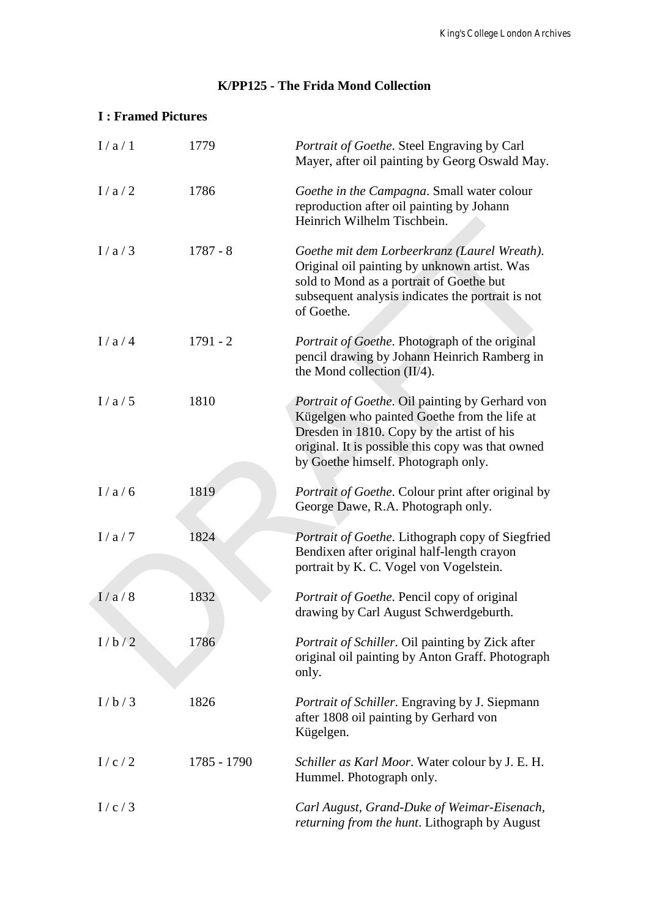## **K/PP125 - The Frida Mond Collection**

### **I : Framed Pictures**

| I/a/1 | 1779        | Portrait of Goethe. Steel Engraving by Carl<br>Mayer, after oil painting by Georg Oswald May.                                                                                                                                             |
|-------|-------------|-------------------------------------------------------------------------------------------------------------------------------------------------------------------------------------------------------------------------------------------|
| I/a/2 | 1786        | Goethe in the Campagna. Small water colour<br>reproduction after oil painting by Johann<br>Heinrich Wilhelm Tischbein.                                                                                                                    |
| I/a/3 | $1787 - 8$  | Goethe mit dem Lorbeerkranz (Laurel Wreath).<br>Original oil painting by unknown artist. Was<br>sold to Mond as a portrait of Goethe but<br>subsequent analysis indicates the portrait is not<br>of Goethe.                               |
| I/a/4 | $1791 - 2$  | Portrait of Goethe. Photograph of the original<br>pencil drawing by Johann Heinrich Ramberg in<br>the Mond collection $(II/4)$ .                                                                                                          |
| I/a/5 | 1810        | Portrait of Goethe. Oil painting by Gerhard von<br>Kügelgen who painted Goethe from the life at<br>Dresden in 1810. Copy by the artist of his<br>original. It is possible this copy was that owned<br>by Goethe himself. Photograph only. |
| I/a/6 | 1819        | Portrait of Goethe. Colour print after original by<br>George Dawe, R.A. Photograph only.                                                                                                                                                  |
| I/a/7 | 1824        | Portrait of Goethe. Lithograph copy of Siegfried<br>Bendixen after original half-length crayon<br>portrait by K. C. Vogel von Vogelstein.                                                                                                 |
| 1/a/8 | 1832        | Portrait of Goethe. Pencil copy of original<br>drawing by Carl August Schwerdgeburth.                                                                                                                                                     |
| I/b/2 | 1786        | Portrait of Schiller. Oil painting by Zick after<br>original oil painting by Anton Graff. Photograph<br>only.                                                                                                                             |
| I/b/3 | 1826        | Portrait of Schiller. Engraving by J. Siepmann<br>after 1808 oil painting by Gerhard von<br>Kügelgen.                                                                                                                                     |
| I/c/2 | 1785 - 1790 | Schiller as Karl Moor. Water colour by J. E. H.<br>Hummel. Photograph only.                                                                                                                                                               |
| I/c/3 |             | Carl August, Grand-Duke of Weimar-Eisenach,<br>returning from the hunt. Lithograph by August                                                                                                                                              |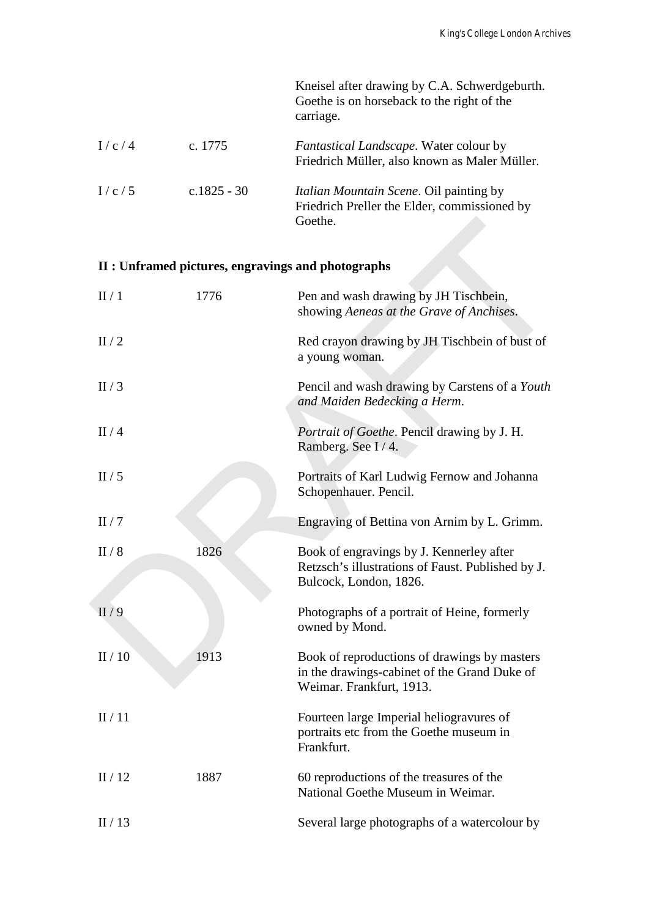|       |             | Kneisel after drawing by C.A. Schwerdgeburth.<br>Goethe is on horseback to the right of the<br>carriage.  |
|-------|-------------|-----------------------------------------------------------------------------------------------------------|
| I/c/4 | c. 1775     | <i>Fantastical Landscape.</i> Water colour by<br>Friedrich Müller, also known as Maler Müller.            |
| I/c/5 | c.1825 - 30 | <i>Italian Mountain Scene.</i> Oil painting by<br>Friedrich Preller the Elder, commissioned by<br>Goethe. |

# **II : Unframed pictures, engravings and photographs**

|       |      | Goethe.                                                                                                                  |
|-------|------|--------------------------------------------------------------------------------------------------------------------------|
|       |      | II : Unframed pictures, engravings and photographs                                                                       |
| II/1  | 1776 | Pen and wash drawing by JH Tischbein,<br>showing Aeneas at the Grave of Anchises.                                        |
| II/2  |      | Red crayon drawing by JH Tischbein of bust of<br>a young woman.                                                          |
| II/3  |      | Pencil and wash drawing by Carstens of a Youth<br>and Maiden Bedecking a Herm.                                           |
| II/4  |      | Portrait of Goethe. Pencil drawing by J. H.<br>Ramberg. See I/4.                                                         |
| II/5  |      | Portraits of Karl Ludwig Fernow and Johanna<br>Schopenhauer. Pencil.                                                     |
| II/7  |      | Engraving of Bettina von Arnim by L. Grimm.                                                                              |
| II/8  | 1826 | Book of engravings by J. Kennerley after<br>Retzsch's illustrations of Faust. Published by J.<br>Bulcock, London, 1826.  |
| II/9  |      | Photographs of a portrait of Heine, formerly<br>owned by Mond.                                                           |
| II/10 | 1913 | Book of reproductions of drawings by masters<br>in the drawings-cabinet of the Grand Duke of<br>Weimar. Frankfurt, 1913. |
| II/11 |      | Fourteen large Imperial heliogravures of<br>portraits etc from the Goethe museum in<br>Frankfurt.                        |
| II/12 | 1887 | 60 reproductions of the treasures of the<br>National Goethe Museum in Weimar.                                            |
| II/13 |      | Several large photographs of a watercolour by                                                                            |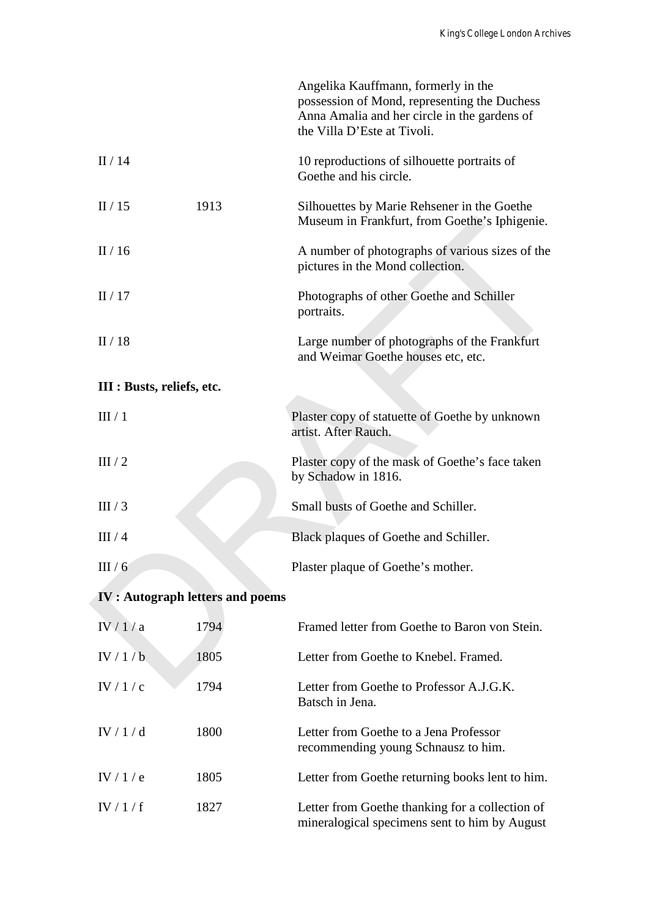|                            |                                        | Angelika Kauffmann, formerly in the<br>possession of Mond, representing the Duchess<br>Anna Amalia and her circle in the gardens of<br>the Villa D'Este at Tivoli. |
|----------------------------|----------------------------------------|--------------------------------------------------------------------------------------------------------------------------------------------------------------------|
| II/14                      |                                        | 10 reproductions of silhouette portraits of<br>Goethe and his circle.                                                                                              |
| II/15                      | 1913                                   | Silhouettes by Marie Rehsener in the Goethe<br>Museum in Frankfurt, from Goethe's Iphigenie.                                                                       |
| II/16                      |                                        | A number of photographs of various sizes of the<br>pictures in the Mond collection.                                                                                |
| II/17                      |                                        | Photographs of other Goethe and Schiller<br>portraits.                                                                                                             |
| II/18                      |                                        | Large number of photographs of the Frankfurt<br>and Weimar Goethe houses etc, etc.                                                                                 |
| III : Busts, reliefs, etc. |                                        |                                                                                                                                                                    |
| III/1                      |                                        | Plaster copy of statuette of Goethe by unknown<br>artist. After Rauch.                                                                                             |
| III/2                      |                                        | Plaster copy of the mask of Goethe's face taken<br>by Schadow in 1816.                                                                                             |
| III/3                      |                                        | Small busts of Goethe and Schiller.                                                                                                                                |
| III/4                      |                                        | Black plaques of Goethe and Schiller.                                                                                                                              |
| III/6                      |                                        | Plaster plaque of Goethe's mother.                                                                                                                                 |
|                            | <b>IV: Autograph letters and poems</b> |                                                                                                                                                                    |
| IV/1/a                     | 1794                                   | Framed letter from Goethe to Baron von Stein.                                                                                                                      |
| IV/1/b                     | 1805                                   | Letter from Goethe to Knebel. Framed.                                                                                                                              |
| IV / 1 / c                 | 1794                                   | Letter from Goethe to Professor A.J.G.K.<br>Batsch in Jena.                                                                                                        |
| IV / 1 / d                 | 1800                                   | Letter from Goethe to a Jena Professor<br>recommending young Schnausz to him.                                                                                      |
| IV $/1/e$                  | 1805                                   | Letter from Goethe returning books lent to him.                                                                                                                    |
| IV/1/f                     | 1827                                   | Letter from Goethe thanking for a collection of<br>mineralogical specimens sent to him by August                                                                   |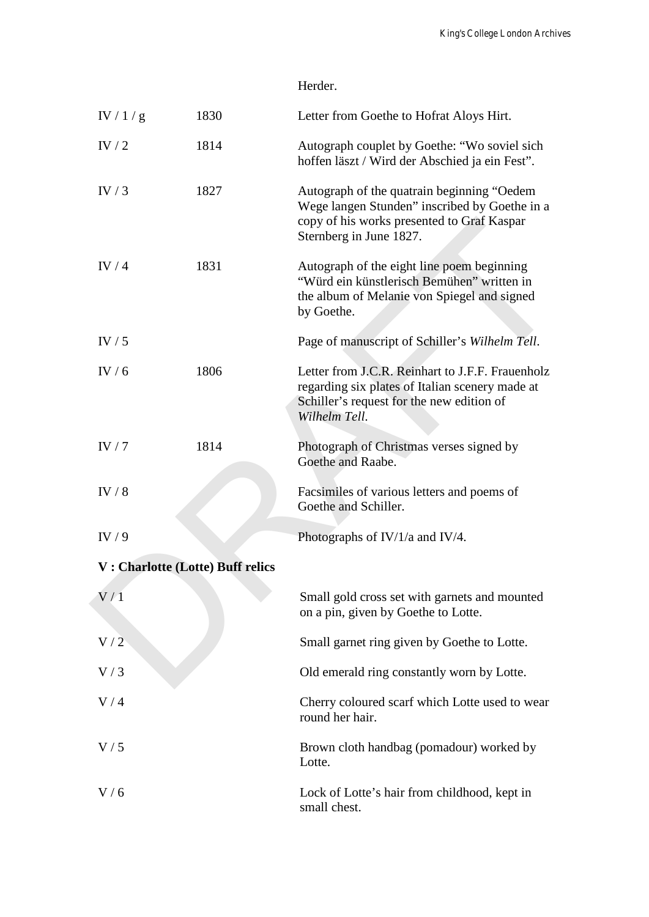| Herder. |  |
|---------|--|
|---------|--|

| IV $/$ 1 $/$ g | 1830                             | Letter from Goethe to Hofrat Aloys Hirt.                                                                                                                              |
|----------------|----------------------------------|-----------------------------------------------------------------------------------------------------------------------------------------------------------------------|
| IV $/2$        | 1814                             | Autograph couplet by Goethe: "Wo soviel sich<br>hoffen läszt / Wird der Abschied ja ein Fest".                                                                        |
| IV $/3$        | 1827                             | Autograph of the quatrain beginning "Oedem"<br>Wege langen Stunden" inscribed by Goethe in a<br>copy of his works presented to Graf Kaspar<br>Sternberg in June 1827. |
| IV $/4$        | 1831                             | Autograph of the eight line poem beginning<br>"Würd ein künstlerisch Bemühen" written in<br>the album of Melanie von Spiegel and signed<br>by Goethe.                 |
| IV $/5$        |                                  | Page of manuscript of Schiller's Wilhelm Tell.                                                                                                                        |
| IV / $6$       | 1806                             | Letter from J.C.R. Reinhart to J.F.F. Frauenholz<br>regarding six plates of Italian scenery made at<br>Schiller's request for the new edition of<br>Wilhelm Tell.     |
| IV $/7$        | 1814                             | Photograph of Christmas verses signed by<br>Goethe and Raabe.                                                                                                         |
| IV $/8$        |                                  | Facsimiles of various letters and poems of<br>Goethe and Schiller.                                                                                                    |
| IV/9           |                                  | Photographs of IV/1/a and IV/4.                                                                                                                                       |
|                | V: Charlotte (Lotte) Buff relics |                                                                                                                                                                       |
| $\rm V$ / $1$  |                                  | Small gold cross set with garnets and mounted<br>on a pin, given by Goethe to Lotte.                                                                                  |
| V/2            |                                  | Small garnet ring given by Goethe to Lotte.                                                                                                                           |
| V/3            |                                  | Old emerald ring constantly worn by Lotte.                                                                                                                            |
| V/4            |                                  | Cherry coloured scarf which Lotte used to wear<br>round her hair.                                                                                                     |
| V/5            |                                  | Brown cloth handbag (pomadour) worked by<br>Lotte.                                                                                                                    |
| V/6            |                                  | Lock of Lotte's hair from childhood, kept in<br>small chest.                                                                                                          |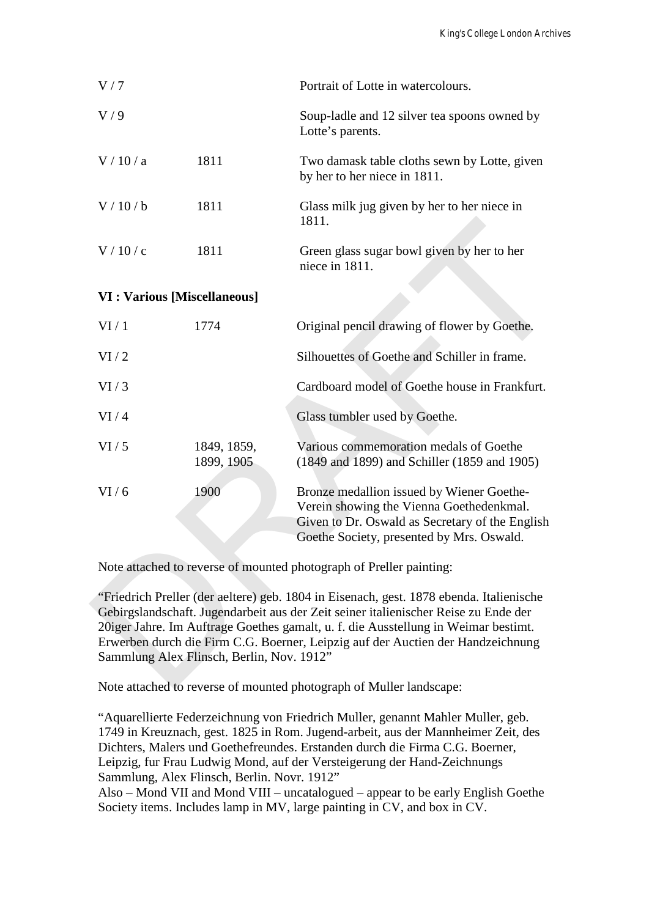| V/7                                 |                                           | Portrait of Lotte in watercolours.                                                                                                                                                                                                                                                                                                                      |
|-------------------------------------|-------------------------------------------|---------------------------------------------------------------------------------------------------------------------------------------------------------------------------------------------------------------------------------------------------------------------------------------------------------------------------------------------------------|
| V/9                                 |                                           | Soup-ladle and 12 silver tea spoons owned by<br>Lotte's parents.                                                                                                                                                                                                                                                                                        |
| V/10/a                              | 1811                                      | Two damask table cloths sewn by Lotte, given<br>by her to her niece in 1811.                                                                                                                                                                                                                                                                            |
| V/10/b                              | 1811                                      | Glass milk jug given by her to her niece in<br>1811.                                                                                                                                                                                                                                                                                                    |
| V/10/c                              | 1811                                      | Green glass sugar bowl given by her to her<br>niece in 1811.                                                                                                                                                                                                                                                                                            |
| <b>VI</b> : Various [Miscellaneous] |                                           |                                                                                                                                                                                                                                                                                                                                                         |
| VI/1                                | 1774                                      | Original pencil drawing of flower by Goethe.                                                                                                                                                                                                                                                                                                            |
| VI/2                                |                                           | Silhouettes of Goethe and Schiller in frame.                                                                                                                                                                                                                                                                                                            |
| VI/3                                |                                           | Cardboard model of Goethe house in Frankfurt.                                                                                                                                                                                                                                                                                                           |
| VI/4                                |                                           | Glass tumbler used by Goethe.                                                                                                                                                                                                                                                                                                                           |
| VI/5                                | 1849, 1859,<br>1899, 1905                 | Various commemoration medals of Goethe<br>(1849 and 1899) and Schiller (1859 and 1905)                                                                                                                                                                                                                                                                  |
| VI/6                                | 1900                                      | Bronze medallion issued by Wiener Goethe-<br>Verein showing the Vienna Goethedenkmal.<br>Given to Dr. Oswald as Secretary of the English<br>Goethe Society, presented by Mrs. Oswald.                                                                                                                                                                   |
|                                     |                                           | Note attached to reverse of mounted photograph of Preller painting:                                                                                                                                                                                                                                                                                     |
|                                     | Sammlung Alex Flinsch, Berlin, Nov. 1912" | "Friedrich Preller (der aeltere) geb. 1804 in Eisenach, gest. 1878 ebenda. Italienische<br>Gebirgslandschaft. Jugendarbeit aus der Zeit seiner italienischer Reise zu Ende der<br>20iger Jahre. Im Auftrage Goethes gamalt, u. f. die Ausstellung in Weimar bestimt.<br>Erwerben durch die Firm C.G. Boerner, Leipzig auf der Auctien der Handzeichnung |
|                                     |                                           | Note attached to reverse of mounted photograph of Muller landscape:                                                                                                                                                                                                                                                                                     |

Note attached to reverse of mounted photograph of Muller landscape:

"Aquarellierte Federzeichnung von Friedrich Muller, genannt Mahler Muller, geb. 1749 in Kreuznach, gest. 1825 in Rom. Jugend-arbeit, aus der Mannheimer Zeit, des Dichters, Malers und Goethefreundes. Erstanden durch die Firma C.G. Boerner, Leipzig, fur Frau Ludwig Mond, auf der Versteigerung der Hand-Zeichnungs Sammlung, Alex Flinsch, Berlin. Novr. 1912"

Also – Mond VII and Mond VIII – uncatalogued – appear to be early English Goethe Society items. Includes lamp in MV, large painting in CV, and box in CV.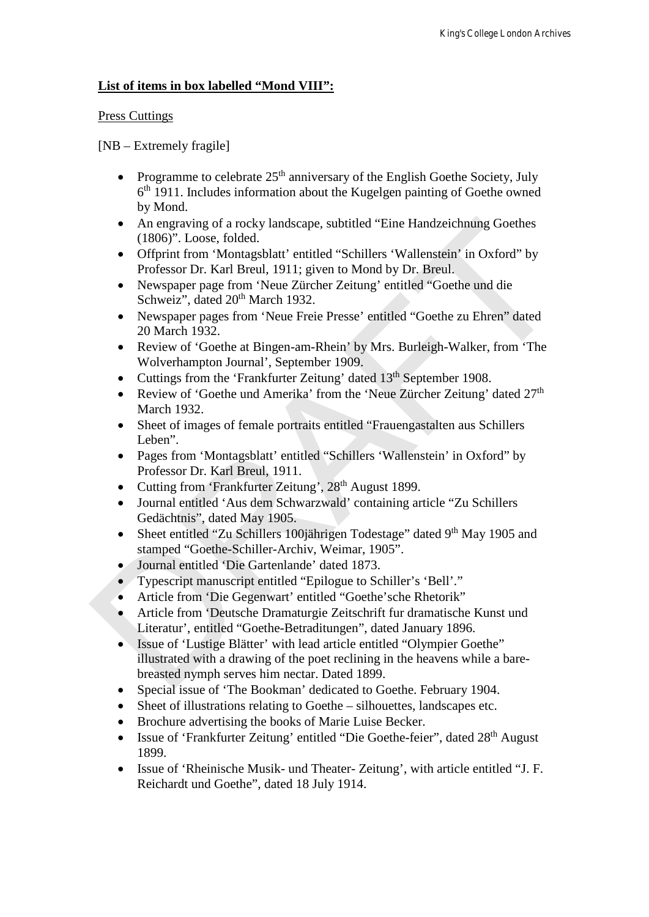#### **List of items in box labelled "Mond VIII":**

#### Press Cuttings

[NB – Extremely fragile]

- Programme to celebrate  $25<sup>th</sup>$  anniversary of the English Goethe Society, July  $6<sup>th</sup>$  1911. Includes information about the Kugelgen painting of Goethe owned by Mond.
- An engraving of a rocky landscape, subtitled "Eine Handzeichnung Goethes" (1806)". Loose, folded.
- Offprint from 'Montagsblatt' entitled "Schillers 'Wallenstein' in Oxford" by Professor Dr. Karl Breul, 1911; given to Mond by Dr. Breul.
- Newspaper page from 'Neue Zürcher Zeitung' entitled "Goethe und die Schweiz", dated  $20<sup>th</sup>$  March 1932.
- Newspaper pages from 'Neue Freie Presse' entitled "Goethe zu Ehren" dated 20 March 1932.
- Review of 'Goethe at Bingen-am-Rhein' by Mrs. Burleigh-Walker, from 'The Wolverhampton Journal', September 1909.
- Cuttings from the 'Frankfurter Zeitung' dated 13<sup>th</sup> September 1908.
- Review of 'Goethe und Amerika' from the 'Neue Zürcher Zeitung' dated 27<sup>th</sup> March 1932.
- Sheet of images of female portraits entitled "Frauengastalten aus Schillers Leben".
- Pages from 'Montagsblatt' entitled "Schillers 'Wallenstein' in Oxford" by Professor Dr. Karl Breul, 1911.
- Cutting from 'Frankfurter Zeitung', 28<sup>th</sup> August 1899.
- Journal entitled 'Aus dem Schwarzwald' containing article "Zu Schillers Gedächtnis", dated May 1905.
- Sheet entitled "Zu Schillers 100 and Todestage" dated 9<sup>th</sup> May 1905 and stamped "Goethe-Schiller-Archiv, Weimar, 1905".
- Journal entitled 'Die Gartenlande' dated 1873.
- Typescript manuscript entitled "Epilogue to Schiller's 'Bell'."
- Article from 'Die Gegenwart' entitled "Goethe'sche Rhetorik"
- Article from 'Deutsche Dramaturgie Zeitschrift fur dramatische Kunst und Literatur', entitled "Goethe-Betraditungen", dated January 1896.
- Issue of 'Lustige Blätter' with lead article entitled "Olympier Goethe" illustrated with a drawing of the poet reclining in the heavens while a barebreasted nymph serves him nectar. Dated 1899. A negraving of a rocky landscape, subtitled "Eine Handzeichnung Goethes<br>
(1806)". Loose, folded. 1911; given to Mond by Dr. Berell.<br>
Offprint from 'Montagsblatt' entitled "Schillers 'Wallenstein' in Oxford" by<br>
Protessor
	- Special issue of 'The Bookman' dedicated to Goethe. February 1904.
	- Sheet of illustrations relating to Goethe silhouettes, landscapes etc.
	- Brochure advertising the books of Marie Luise Becker.
	- Issue of 'Frankfurter Zeitung' entitled "Die Goethe-feier", dated 28<sup>th</sup> August 1899.
	- Issue of 'Rheinische Musik- und Theater- Zeitung', with article entitled "J. F. Reichardt und Goethe", dated 18 July 1914.